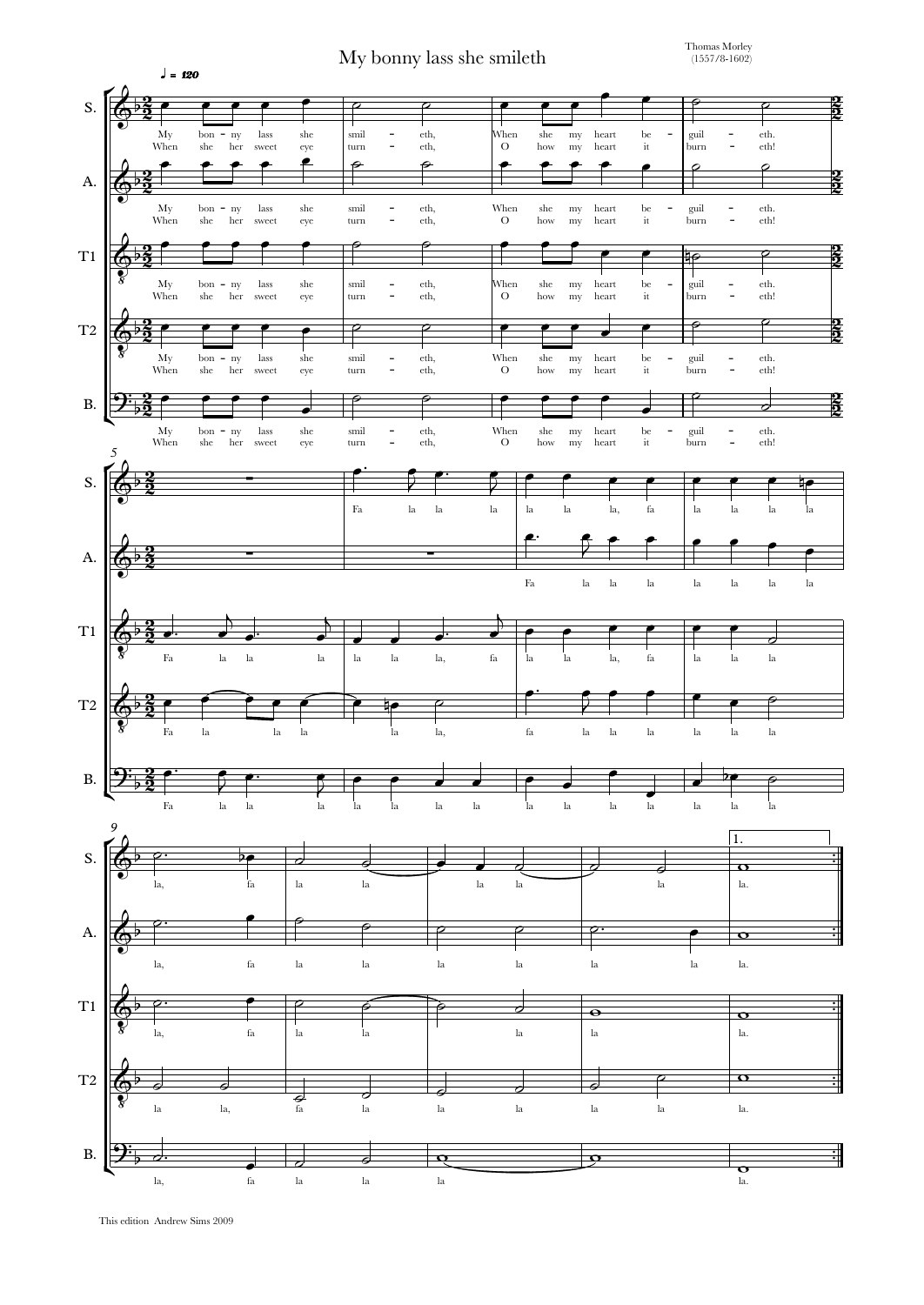My bonny lass she smileth

Thomas Morley (1557/8-1602)



This edition Andrew Sims 2009